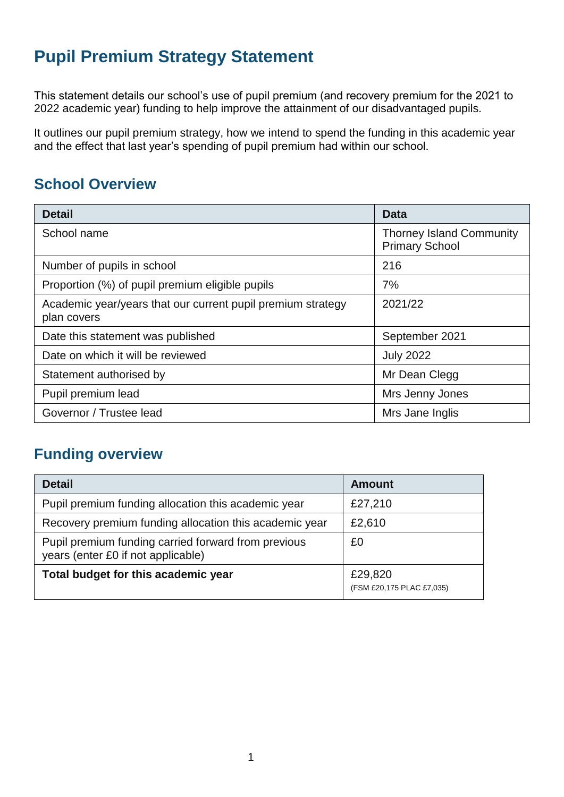# **Pupil Premium Strategy Statement**

This statement details our school's use of pupil premium (and recovery premium for the 2021 to 2022 academic year) funding to help improve the attainment of our disadvantaged pupils.

It outlines our pupil premium strategy, how we intend to spend the funding in this academic year and the effect that last year's spending of pupil premium had within our school.

# **School Overview**

| <b>Detail</b>                                                              | <b>Data</b>                                              |
|----------------------------------------------------------------------------|----------------------------------------------------------|
| School name                                                                | <b>Thorney Island Community</b><br><b>Primary School</b> |
| Number of pupils in school                                                 | 216                                                      |
| Proportion (%) of pupil premium eligible pupils                            | 7%                                                       |
| Academic year/years that our current pupil premium strategy<br>plan covers | 2021/22                                                  |
| Date this statement was published                                          | September 2021                                           |
| Date on which it will be reviewed                                          | <b>July 2022</b>                                         |
| Statement authorised by                                                    | Mr Dean Clegg                                            |
| Pupil premium lead                                                         | Mrs Jenny Jones                                          |
| Governor / Trustee lead                                                    | Mrs Jane Inglis                                          |

### **Funding overview**

| <b>Detail</b>                                                                             | <b>Amount</b>                        |
|-------------------------------------------------------------------------------------------|--------------------------------------|
| Pupil premium funding allocation this academic year                                       | £27,210                              |
| Recovery premium funding allocation this academic year                                    | £2,610                               |
| Pupil premium funding carried forward from previous<br>years (enter £0 if not applicable) | £0                                   |
| Total budget for this academic year                                                       | £29,820<br>(FSM £20,175 PLAC £7,035) |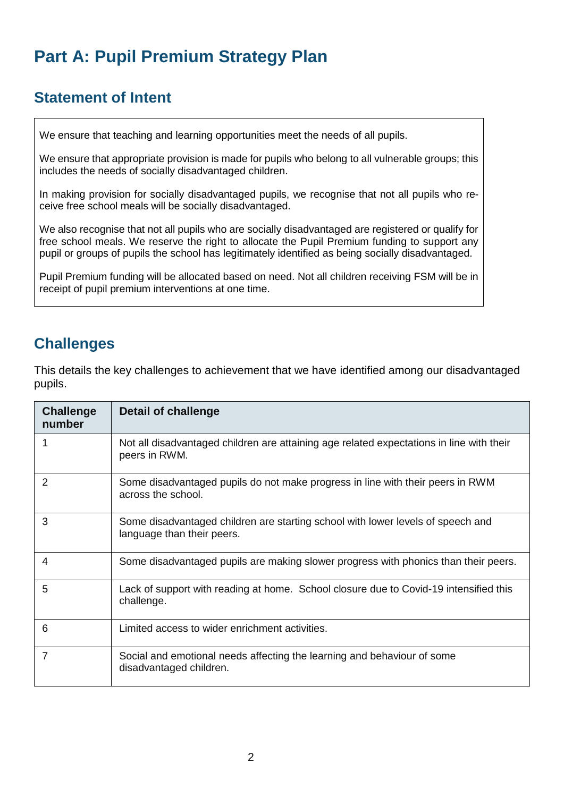# **Part A: Pupil Premium Strategy Plan**

## **Statement of Intent**

We ensure that teaching and learning opportunities meet the needs of all pupils.

 We ensure that appropriate provision is made for pupils who belong to all vulnerable groups; this includes the needs of socially disadvantaged children.

 In making provision for socially disadvantaged pupils, we recognise that not all pupils who receive free school meals will be socially disadvantaged.

 We also recognise that not all pupils who are socially disadvantaged are registered or qualify for free school meals. We reserve the right to allocate the Pupil Premium funding to support any pupil or groups of pupils the school has legitimately identified as being socially disadvantaged.

 Pupil Premium funding will be allocated based on need. Not all children receiving FSM will be in receipt of pupil premium interventions at one time.

## **Challenges**

This details the key challenges to achievement that we have identified among our disadvantaged pupils.

| <b>Challenge</b><br>number | Detail of challenge                                                                                           |
|----------------------------|---------------------------------------------------------------------------------------------------------------|
|                            | Not all disadvantaged children are attaining age related expectations in line with their<br>peers in RWM.     |
| 2                          | Some disadvantaged pupils do not make progress in line with their peers in RWM<br>across the school.          |
| 3                          | Some disadvantaged children are starting school with lower levels of speech and<br>language than their peers. |
| 4                          | Some disadvantaged pupils are making slower progress with phonics than their peers.                           |
| 5                          | Lack of support with reading at home. School closure due to Covid-19 intensified this<br>challenge.           |
| 6                          | Limited access to wider enrichment activities.                                                                |
| 7                          | Social and emotional needs affecting the learning and behaviour of some<br>disadvantaged children.            |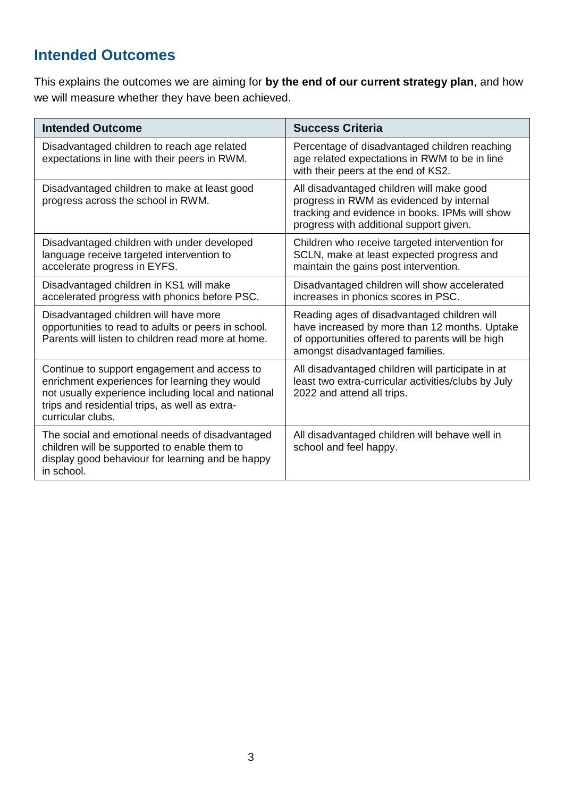# **Intended Outcomes**

This explains the outcomes we are aiming for **by the end of our current strategy plan**, and how we will measure whether they have been achieved.

| <b>Intended Outcome</b>                                                                                                                                                                                                      | <b>Success Criteria</b>                                                                                                                                                             |
|------------------------------------------------------------------------------------------------------------------------------------------------------------------------------------------------------------------------------|-------------------------------------------------------------------------------------------------------------------------------------------------------------------------------------|
| Disadvantaged children to reach age related<br>expectations in line with their peers in RWM.                                                                                                                                 | Percentage of disadvantaged children reaching<br>age related expectations in RWM to be in line<br>with their peers at the end of KS2.                                               |
| Disadvantaged children to make at least good<br>progress across the school in RWM.                                                                                                                                           | All disadvantaged children will make good<br>progress in RWM as evidenced by internal<br>tracking and evidence in books. IPMs will show<br>progress with additional support given.  |
| Disadvantaged children with under developed<br>language receive targeted intervention to<br>accelerate progress in EYFS.                                                                                                     | Children who receive targeted intervention for<br>SCLN, make at least expected progress and<br>maintain the gains post intervention.                                                |
| Disadvantaged children in KS1 will make<br>accelerated progress with phonics before PSC.                                                                                                                                     | Disadvantaged children will show accelerated<br>increases in phonics scores in PSC.                                                                                                 |
| Disadvantaged children will have more<br>opportunities to read to adults or peers in school.<br>Parents will listen to children read more at home.                                                                           | Reading ages of disadvantaged children will<br>have increased by more than 12 months. Uptake<br>of opportunities offered to parents will be high<br>amongst disadvantaged families. |
| Continue to support engagement and access to<br>enrichment experiences for learning they would<br>not usually experience including local and national<br>trips and residential trips, as well as extra-<br>curricular clubs. | All disadvantaged children will participate in at<br>least two extra-curricular activities/clubs by July<br>2022 and attend all trips.                                              |
| The social and emotional needs of disadvantaged<br>children will be supported to enable them to<br>display good behaviour for learning and be happy<br>in school.                                                            | All disadvantaged children will behave well in<br>school and feel happy.                                                                                                            |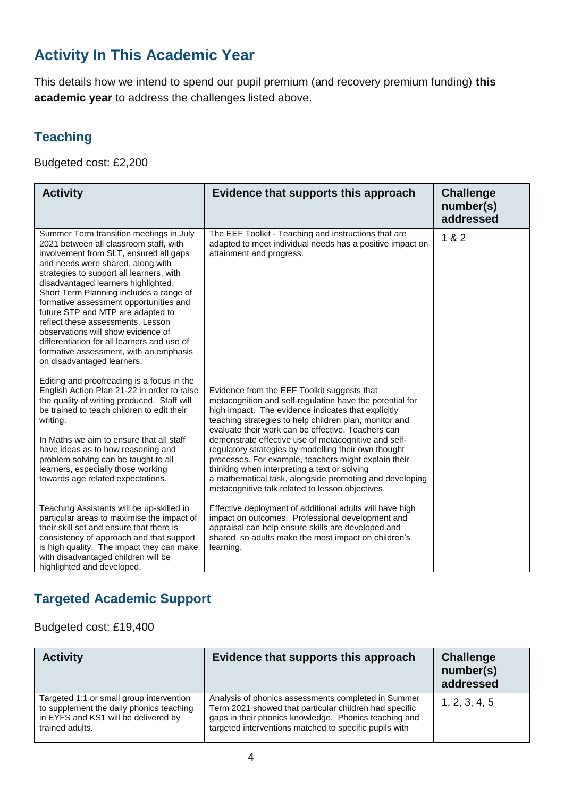# **Activity In This Academic Year**

This details how we intend to spend our pupil premium (and recovery premium funding) **this academic year** to address the challenges listed above.

#### **Teaching**

Budgeted cost: £2,200

| <b>Activity</b>                                                                                                                                                                                                                                                                                                                                                                                                                                                                                                                                                                 | Evidence that supports this approach                                                                                                                                                                                                                                                                                                                                                                                                                                                                                                                                                                                  | <b>Challenge</b><br>number(s)<br>addressed |
|---------------------------------------------------------------------------------------------------------------------------------------------------------------------------------------------------------------------------------------------------------------------------------------------------------------------------------------------------------------------------------------------------------------------------------------------------------------------------------------------------------------------------------------------------------------------------------|-----------------------------------------------------------------------------------------------------------------------------------------------------------------------------------------------------------------------------------------------------------------------------------------------------------------------------------------------------------------------------------------------------------------------------------------------------------------------------------------------------------------------------------------------------------------------------------------------------------------------|--------------------------------------------|
| Summer Term transition meetings in July<br>2021 between all classroom staff, with<br>involvement from SLT, ensured all gaps<br>and needs were shared, along with<br>strategies to support all learners, with<br>disadvantaged learners highlighted.<br>Short Term Planning includes a range of<br>formative assessment opportunities and<br>future STP and MTP are adapted to<br>reflect these assessments. Lesson<br>observations will show evidence of<br>differentiation for all learners and use of<br>formative assessment, with an emphasis<br>on disadvantaged learners. | The EEF Toolkit - Teaching and instructions that are<br>adapted to meet individual needs has a positive impact on<br>attainment and progress.                                                                                                                                                                                                                                                                                                                                                                                                                                                                         | 1 & 2                                      |
| Editing and proofreading is a focus in the<br>English Action Plan 21-22 in order to raise<br>the quality of writing produced. Staff will<br>be trained to teach children to edit their<br>writing.<br>In Maths we aim to ensure that all staff<br>have ideas as to how reasoning and<br>problem solving can be taught to all<br>learners, especially those working<br>towards age related expectations.                                                                                                                                                                         | Evidence from the EEF Toolkit suggests that<br>metacognition and self-regulation have the potential for<br>high impact. The evidence indicates that explicitly<br>teaching strategies to help children plan, monitor and<br>evaluate their work can be effective. Teachers can<br>demonstrate effective use of metacognitive and self-<br>regulatory strategies by modelling their own thought<br>processes. For example, teachers might explain their<br>thinking when interpreting a text or solving<br>a mathematical task, alongside promoting and developing<br>metacognitive talk related to lesson objectives. |                                            |
| Teaching Assistants will be up-skilled in<br>particular areas to maximise the impact of<br>their skill set and ensure that there is<br>consistency of approach and that support<br>is high quality. The impact they can make<br>with disadvantaged children will be<br>highlighted and developed.                                                                                                                                                                                                                                                                               | Effective deployment of additional adults will have high<br>impact on outcomes. Professional development and<br>appraisal can help ensure skills are developed and<br>shared, so adults make the most impact on children's<br>learning.                                                                                                                                                                                                                                                                                                                                                                               |                                            |

#### **Targeted Academic Support**

Budgeted cost: £19,400

| <b>Activity</b>                                                                                                                                 | Evidence that supports this approach                                                                                                                                                                                             | <b>Challenge</b><br>number(s)<br>addressed |
|-------------------------------------------------------------------------------------------------------------------------------------------------|----------------------------------------------------------------------------------------------------------------------------------------------------------------------------------------------------------------------------------|--------------------------------------------|
| Targeted 1:1 or small group intervention<br>to supplement the daily phonics teaching<br>in EYFS and KS1 will be delivered by<br>trained adults. | Analysis of phonics assessments completed in Summer<br>Term 2021 showed that particular children had specific<br>gaps in their phonics knowledge. Phonics teaching and<br>targeted interventions matched to specific pupils with | 1, 2, 3, 4, 5                              |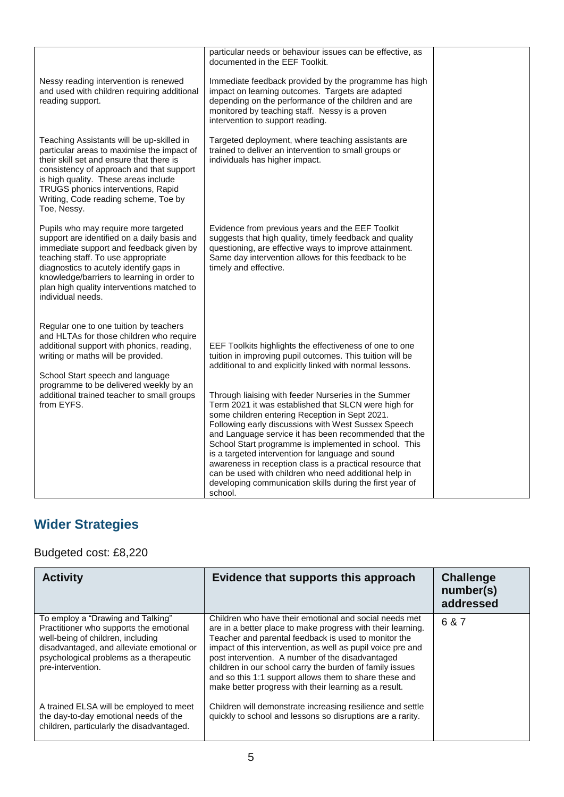|                                                                                                                                                                                                                                                                                                                                  | particular needs or behaviour issues can be effective, as<br>documented in the EEF Toolkit.                                                                                                                                                                                                                                                                                                                                                                                                                                                                                                                                                                                                                                                                                   |  |
|----------------------------------------------------------------------------------------------------------------------------------------------------------------------------------------------------------------------------------------------------------------------------------------------------------------------------------|-------------------------------------------------------------------------------------------------------------------------------------------------------------------------------------------------------------------------------------------------------------------------------------------------------------------------------------------------------------------------------------------------------------------------------------------------------------------------------------------------------------------------------------------------------------------------------------------------------------------------------------------------------------------------------------------------------------------------------------------------------------------------------|--|
| Nessy reading intervention is renewed<br>and used with children requiring additional<br>reading support.                                                                                                                                                                                                                         | Immediate feedback provided by the programme has high<br>impact on learning outcomes. Targets are adapted<br>depending on the performance of the children and are<br>monitored by teaching staff. Nessy is a proven<br>intervention to support reading.                                                                                                                                                                                                                                                                                                                                                                                                                                                                                                                       |  |
| Teaching Assistants will be up-skilled in<br>particular areas to maximise the impact of<br>their skill set and ensure that there is<br>consistency of approach and that support<br>is high quality. These areas include<br>TRUGS phonics interventions, Rapid<br>Writing, Code reading scheme, Toe by<br>Toe, Nessy.             | Targeted deployment, where teaching assistants are<br>trained to deliver an intervention to small groups or<br>individuals has higher impact.                                                                                                                                                                                                                                                                                                                                                                                                                                                                                                                                                                                                                                 |  |
| Pupils who may require more targeted<br>support are identified on a daily basis and<br>immediate support and feedback given by<br>teaching staff. To use appropriate<br>diagnostics to acutely identify gaps in<br>knowledge/barriers to learning in order to<br>plan high quality interventions matched to<br>individual needs. | Evidence from previous years and the EEF Toolkit<br>suggests that high quality, timely feedback and quality<br>questioning, are effective ways to improve attainment.<br>Same day intervention allows for this feedback to be<br>timely and effective.                                                                                                                                                                                                                                                                                                                                                                                                                                                                                                                        |  |
| Regular one to one tuition by teachers<br>and HLTAs for those children who require<br>additional support with phonics, reading,<br>writing or maths will be provided.<br>School Start speech and language<br>programme to be delivered weekly by an<br>additional trained teacher to small groups<br>from EYFS.                  | EEF Toolkits highlights the effectiveness of one to one<br>tuition in improving pupil outcomes. This tuition will be<br>additional to and explicitly linked with normal lessons.<br>Through liaising with feeder Nurseries in the Summer<br>Term 2021 it was established that SLCN were high for<br>some children entering Reception in Sept 2021.<br>Following early discussions with West Sussex Speech<br>and Language service it has been recommended that the<br>School Start programme is implemented in school. This<br>is a targeted intervention for language and sound<br>awareness in reception class is a practical resource that<br>can be used with children who need additional help in<br>developing communication skills during the first year of<br>school. |  |

# **Wider Strategies**

Budgeted cost: £8,220

| <b>Activity</b>                                                                                                                                                                                                                | Evidence that supports this approach                                                                                                                                                                                                                                                                                                                                                                                                                                            | <b>Challenge</b><br>number(s)<br>addressed |
|--------------------------------------------------------------------------------------------------------------------------------------------------------------------------------------------------------------------------------|---------------------------------------------------------------------------------------------------------------------------------------------------------------------------------------------------------------------------------------------------------------------------------------------------------------------------------------------------------------------------------------------------------------------------------------------------------------------------------|--------------------------------------------|
| To employ a "Drawing and Talking"<br>Practitioner who supports the emotional<br>well-being of children, including<br>disadvantaged, and alleviate emotional or<br>psychological problems as a therapeutic<br>pre-intervention. | Children who have their emotional and social needs met<br>are in a better place to make progress with their learning.<br>Teacher and parental feedback is used to monitor the<br>impact of this intervention, as well as pupil voice pre and<br>post intervention. A number of the disadvantaged<br>children in our school carry the burden of family issues<br>and so this 1:1 support allows them to share these and<br>make better progress with their learning as a result. | 6 & 7                                      |
| A trained ELSA will be employed to meet<br>the day-to-day emotional needs of the<br>children, particularly the disadvantaged.                                                                                                  | Children will demonstrate increasing resilience and settle<br>quickly to school and lessons so disruptions are a rarity.                                                                                                                                                                                                                                                                                                                                                        |                                            |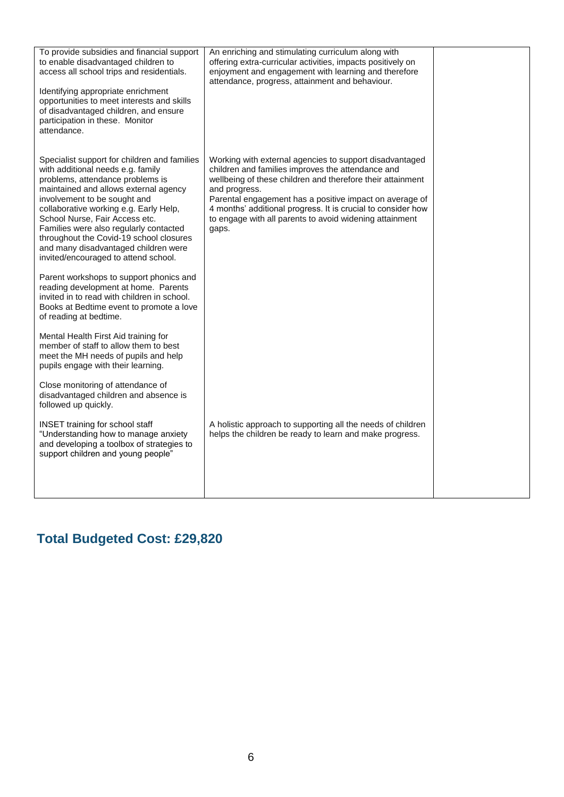| To provide subsidies and financial support<br>to enable disadvantaged children to<br>access all school trips and residentials.<br>Identifying appropriate enrichment<br>opportunities to meet interests and skills<br>of disadvantaged children, and ensure<br>participation in these. Monitor<br>attendance.                                                                                                                                   | An enriching and stimulating curriculum along with<br>offering extra-curricular activities, impacts positively on<br>enjoyment and engagement with learning and therefore<br>attendance, progress, attainment and behaviour.                                                                                                                                                               |  |
|-------------------------------------------------------------------------------------------------------------------------------------------------------------------------------------------------------------------------------------------------------------------------------------------------------------------------------------------------------------------------------------------------------------------------------------------------|--------------------------------------------------------------------------------------------------------------------------------------------------------------------------------------------------------------------------------------------------------------------------------------------------------------------------------------------------------------------------------------------|--|
| Specialist support for children and families<br>with additional needs e.g. family<br>problems, attendance problems is<br>maintained and allows external agency<br>involvement to be sought and<br>collaborative working e.g. Early Help,<br>School Nurse, Fair Access etc.<br>Families were also regularly contacted<br>throughout the Covid-19 school closures<br>and many disadvantaged children were<br>invited/encouraged to attend school. | Working with external agencies to support disadvantaged<br>children and families improves the attendance and<br>wellbeing of these children and therefore their attainment<br>and progress.<br>Parental engagement has a positive impact on average of<br>4 months' additional progress. It is crucial to consider how<br>to engage with all parents to avoid widening attainment<br>gaps. |  |
| Parent workshops to support phonics and<br>reading development at home. Parents<br>invited in to read with children in school.<br>Books at Bedtime event to promote a love<br>of reading at bedtime.                                                                                                                                                                                                                                            |                                                                                                                                                                                                                                                                                                                                                                                            |  |
| Mental Health First Aid training for<br>member of staff to allow them to best<br>meet the MH needs of pupils and help<br>pupils engage with their learning.                                                                                                                                                                                                                                                                                     |                                                                                                                                                                                                                                                                                                                                                                                            |  |
| Close monitoring of attendance of<br>disadvantaged children and absence is<br>followed up quickly.                                                                                                                                                                                                                                                                                                                                              |                                                                                                                                                                                                                                                                                                                                                                                            |  |
| <b>INSET</b> training for school staff<br>"Understanding how to manage anxiety<br>and developing a toolbox of strategies to<br>support children and young people"                                                                                                                                                                                                                                                                               | A holistic approach to supporting all the needs of children<br>helps the children be ready to learn and make progress.                                                                                                                                                                                                                                                                     |  |
|                                                                                                                                                                                                                                                                                                                                                                                                                                                 |                                                                                                                                                                                                                                                                                                                                                                                            |  |

# **Total Budgeted Cost: £29,820**